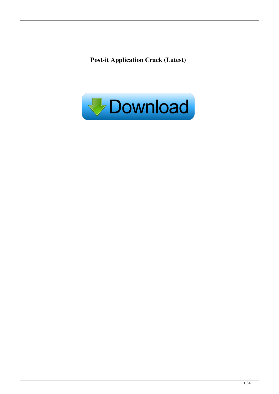**Post-it Application Crack (Latest)**

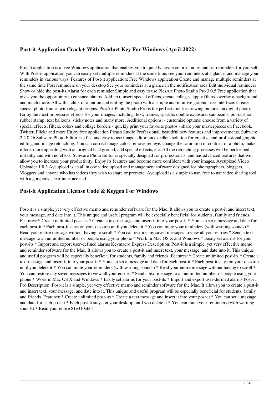# **Post-it Application Crack+ With Product Key For Windows (April-2022)**

Post-it application is a free Windows application that enables you to quickly create colorful notes and set reminders for yourself. With Post-it application you can easily set multiple reminders at the same time, see your reminders at a glance, and manage your reminders in various ways. Features of Post-it application: Free Windows application Create and manage multiple reminders at the same time Post reminders on your desktop See your reminders at a glance in the notification area Edit individual reminders Show or hide the post-its Alarm for each reminder Simple and easy to use PicsArt Photo Studio Pro 3.0.5 Free application that gives you the opportunity to enhance photos. Add text, insert special effects, create collages, apply filters, overlay a background and much more. All with a click of a button and editing the photo with a simple and intuitive graphic user interface. Create special photo frames with elegant designs. PicsArt Photo Studio Pro is the perfect tool for drawing pictures on digital photo. Enjoy the most impressive effects for your images, including: text, frames, sparkle, double exposure, sun beams, pin-cushion, rubber stamp, text balloons, sticky notes and many more. Additional options: - customize options: choose from a variety of special effects, filters, colors and collage borders - quickly print your favorite photos - share your masterpieces on Facebook, Twitter, Flickr and more Enjoy free application Picaso Studio Professional, beautiful new features and improvements. Subware 2.2.0.26 Subware Photo Editor is a fast and easy to use image editor, an excellent solution for creative and professional graphic editing and image retouching. You can correct image color, remove red eye, change the saturation or contrast of a photo, make it look more appealing with an original background, add special effects, etc. All the retouching processes will be performed instantly and with no effort. Subware Photo Editor is specially designed for professionals, and has advanced features that will allow you to increase your productivity. Enjoy its features and become more confident with your images. Ayeupload Video Uploader 1.8.3 Ayeupload is an all in one video upload and management software designed for photographers, bloggers, Vloggers and anyone who has videos they wish to share or promote. Ayeupload is a simple to use, free to use video sharing tool with a gorgeous, clear interface and

### **Post-it Application License Code & Keygen For Windows**

Post-it is a simple, yet very effective memo and reminder software for the Mac. It allows you to create a post-it and insert text, your message, and date into it. This unique and useful program will be especially beneficial for students, family and friends. Features: \* Create unlimited post-its \* Create a text message and insert it into your post-it \* You can set a message and date for each post-it \* Each post-it stays on your desktop until you delete it \* You can mute your reminders (with warning sounds) \* Read your entire message without having to scroll \* You can restore any saved messages to view all your entries \* Send a text message to an unlimited number of people using your phone \* Work in Mac OS X and Windows \* Easily set alarms for your post-its \* Import and export user-defined alarms Keymacro Express Description: Post-it is a simple, yet very effective memo and reminder software for the Mac. It allows you to create a post-it and insert text, your message, and date into it. This unique and useful program will be especially beneficial for students, family and friends. Features: \* Create unlimited post-its \* Create a text message and insert it into your post-it \* You can set a message and date for each post-it \* Each post-it stays on your desktop until you delete it \* You can mute your reminders (with warning sounds) \* Read your entire message without having to scroll \* You can restore any saved messages to view all your entries \* Send a text message to an unlimited number of people using your phone \* Work in Mac OS X and Windows \* Easily set alarms for your post-its \* Import and export user-defined alarms Post-it Pro Description: Post-it is a simple, yet very effective memo and reminder software for the Mac. It allows you to create a post-it and insert text, your message, and date into it. This unique and useful program will be especially beneficial for students, family and friends. Features: \* Create unlimited post-its \* Create a text message and insert it into your post-it \* You can set a message and date for each post-it \* Each post-it stays on your desktop until you delete it \* You can mute your reminders (with warning sounds) \* Read your entire 81e310abbf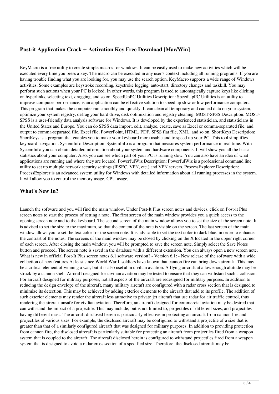# **Post-it Application Crack + Activation Key Free Download [Mac/Win]**

KeyMacro is a free utility to create simple macros for windows. It can be easily used to make new activities which will be executed every time you press a key. The macro can be executed in any user's context including all running programs. If you are having trouble finding what you are looking for, you may use the search option. KeyMacro supports a wide range of Windows activities. Some examples are keystroke recording, keystroke logging, auto-start, directory changes and taskkill. You may perform such actions when your PC is locked. In other words, this program is used to automagically capture keys like clicking on hyperlinks, selecting text, dragging, and so on. SpeedUpPC Utilities Description: SpeedUpPC Utilities is an utility to improve computer performance, is an application can be effective solution to speed up slow or low performance computers. This program that makes the computer run smoothly and quickly. It can clean all temporary and cached data on your system, optimize your system registry, defrag your hard drive, disk optimization and registry cleaning. MOST-SPSS Description: MOST-SPSS is a user-friendly data analysis software for Windows. It is developed by the experienced statistician, and statisticians in the United States and Europe. You can do SPSS data import, edit, analyze, create, save as Excel or comma-separated file, and output to comma-separated file, Excel file, PowerPoint, HTML, PDF, SPSS flat file, XML, and so on. ShortKeys Description: ShortKeys is a program that enables you to make your keyboard more usable and to speed up your PC. This tool simplifies keyboard navigation. SystemInfo Description: SystemInfo is a program that measures system performance in real time. With SystemInfo you can obtain detailed information about your system and hardware components. It will show you all the basic statistics about your computer. Also, you can see which part of your PC is running slow. You can also have an idea of what applications are running and where they are located. PowerfulWiz Description: PowerfulWiz is a professional command line utility to set up multiple network security settings (IPSEC, VPN, etc.) and VPN servers. ProcessExplorer Description: ProcessExplorer is an advanced system utility for Windows with detailed information about all running processes in the system. It will allow you to control the memory usage, CPU usage,

### **What's New In?**

Launch the software and you will find the main window. Under Post-It Plus screen notes and devices, click on Post-it Plus screen notes to start the process of setting a note. The first screen of the main window provides you a quick access to the opening screen note and to the keyboard. The second screen of the main window allows you to set the size of the screen note. It is advised to set the size to the maximum, so that the content of the note is visible on the screen. The last screen of the main window allows you to set the text color for the screen note. It is advisable to set the text color to dark blue, in order to enhance the contrast of the notes. The screens of the main window may be closed by clicking on the X located in the upper right corner of each screen. After closing the main window, you will be prompted to save the screen note. Simply select the Save Notes button and proceed. The screen note is saved in the database with a different extension. You can always open a new screen note. What is new in official Post-It Plus screen notes 6.1 software version? - Version 6.1: - New release of the software with a wide collection of new features.At least since World War I, soldiers have known that cannon fire can bring down aircraft. This may be a critical element of winning a war, but it is also useful in civilian aviation. A flying aircraft at a low enough altitude may be struck by a cannon shell. Aircraft designed for civilian aviation may be tested to ensure that they can withstand such a collision. For aircraft designed for military purposes, not all aspects of the aircraft are redesigned for military purposes. In addition to reducing the design envelope of the aircraft, many military aircraft are configured with a radar cross section that is designed to minimize its detection. This may be achieved by adding exterior elements to the aircraft that add to its profile. The addition of such exterior elements may render the aircraft less attractive to private jet aircraft that use radar for air traffic control, thus rendering the aircraft unsafe for civilian aviation. Therefore, an aircraft designed for commercial aviation may be desired that can withstand the impact of a projectile. This may include, but is not limited to, projectiles of different sizes, and projectiles having different mass. The aircraft disclosed herein is particularly effective in protecting an aircraft from cannon fire and projectiles of various sizes. For example, the disclosed aircraft may be configured to withstand a projectile of a size that is greater than that of a similarly configured aircraft that was designed for military purposes. In addition to providing protection from cannon fire, the disclosed aircraft is particularly suitable for protecting an aircraft from projectiles fired from a weapon system that is coupled to the aircraft. The aircraft disclosed herein is configured to withstand projectiles fired from a weapon system that is designed to avoid a radar cross section of a specified size. Therefore, the disclosed aircraft may be